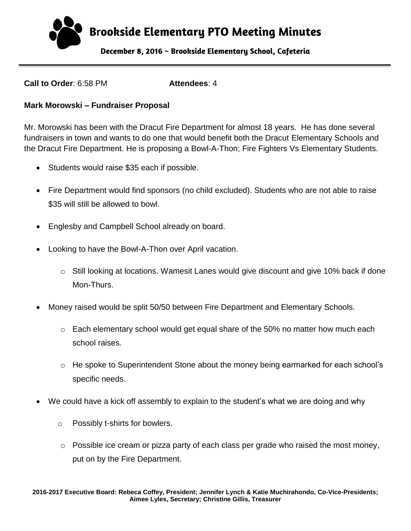**B**r**ookside Elementary PTO Meeting Minutes**

**December 8, 2016 ~ Brookside Elementary School, Cafeteria** 

**Call to Order**: 6:58 PM **Attendees**: 4

#### **Mark Morowski – Fundraiser Proposal**

Mr. Morowski has been with the Dracut Fire Department for almost 18 years. He has done several fundraisers in town and wants to do one that would benefit both the Dracut Elementary Schools and the Dracut Fire Department. He is proposing a Bowl-A-Thon; Fire Fighters Vs Elementary Students.

- Students would raise \$35 each if possible.
- Fire Department would find sponsors (no child excluded). Students who are not able to raise \$35 will still be allowed to bowl.
- Englesby and Campbell School already on board.
- Looking to have the Bowl-A-Thon over April vacation.
	- $\circ$  Still looking at locations. Wamesit Lanes would give discount and give 10% back if done Mon-Thurs.
- Money raised would be split 50/50 between Fire Department and Elementary Schools.
	- $\circ$  Each elementary school would get equal share of the 50% no matter how much each school raises.
	- o He spoke to Superintendent Stone about the money being earmarked for each school's specific needs.
- We could have a kick off assembly to explain to the student's what we are doing and why
	- o Possibly t-shirts for bowlers.
	- o Possible ice cream or pizza party of each class per grade who raised the most money, put on by the Fire Department.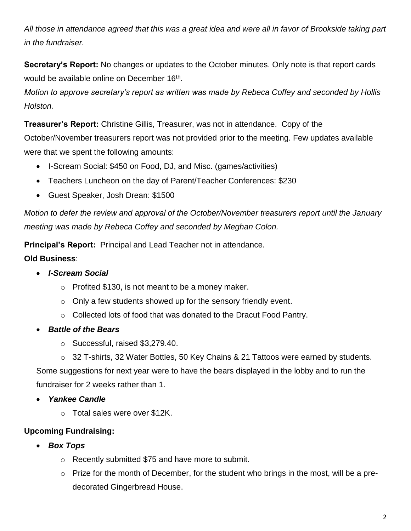*All those in attendance agreed that this was a great idea and were all in favor of Brookside taking part in the fundraiser.*

**Secretary's Report:** No changes or updates to the October minutes. Only note is that report cards would be available online on December 16<sup>th</sup>.

*Motion to approve secretary's report as written was made by Rebeca Coffey and seconded by Hollis Holston.*

**Treasurer's Report:** Christine Gillis, Treasurer, was not in attendance. Copy of the October/November treasurers report was not provided prior to the meeting. Few updates available were that we spent the following amounts:

- I-Scream Social: \$450 on Food, DJ, and Misc. (games/activities)
- Teachers Luncheon on the day of Parent/Teacher Conferences: \$230
- Guest Speaker, Josh Drean: \$1500

*Motion to defer the review and approval of the October/November treasurers report until the January meeting was made by Rebeca Coffey and seconded by Meghan Colon.*

**Principal's Report:** Principal and Lead Teacher not in attendance.

## **Old Business**:

- *I-Scream Social*
	- $\circ$  Profited \$130, is not meant to be a money maker.
	- $\circ$  Only a few students showed up for the sensory friendly event.
	- o Collected lots of food that was donated to the Dracut Food Pantry.
- *Battle of the Bears*
	- o Successful, raised \$3,279.40.
	- o 32 T-shirts, 32 Water Bottles, 50 Key Chains & 21 Tattoos were earned by students.

Some suggestions for next year were to have the bears displayed in the lobby and to run the fundraiser for 2 weeks rather than 1.

- *Yankee Candle* 
	- o Total sales were over \$12K.

# **Upcoming Fundraising:**

- *Box Tops*
	- o Recently submitted \$75 and have more to submit.
	- o Prize for the month of December, for the student who brings in the most, will be a predecorated Gingerbread House.